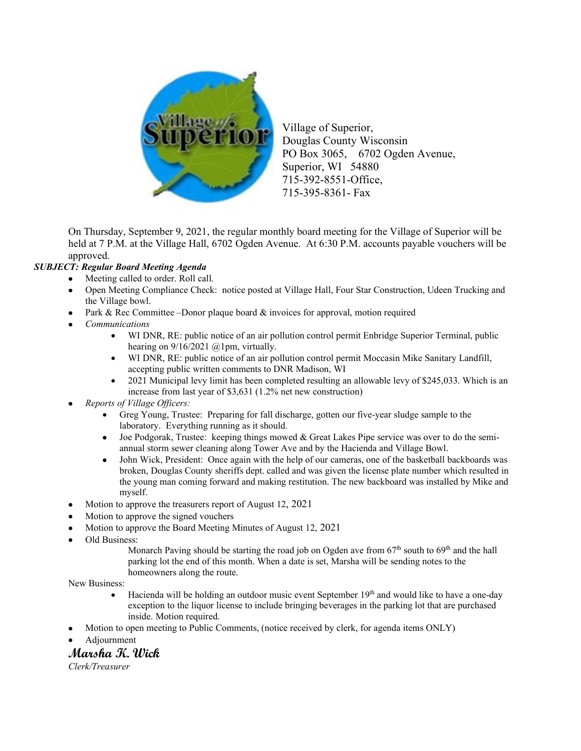

Village of Superior, Douglas County Wisconsin PO Box 3065, 6702 Ogden Avenue, Superior, WI 54880 715-392-8551-Office, 715-395-8361- Fax

On Thursday, September 9, 2021, the regular monthly board meeting for the Village of Superior will be held at 7 P.M. at the Village Hall, 6702 Ogden Avenue. At 6:30 P.M. accounts payable vouchers will be approved.

## *SUBJECT: Regular Board Meeting Agenda*

- Meeting called to order. Roll call.
- Open Meeting Compliance Check: notice posted at Village Hall, Four Star Construction, Udeen Trucking and the Village bowl.
	- Park & Rec Committee –Donor plaque board  $\&$  invoices for approval, motion required
- *Communications*
	- WI DNR, RE: public notice of an air pollution control permit Enbridge Superior Terminal, public hearing on  $9/16/2021$  @1pm, virtually.
	- WI DNR, RE: public notice of an air pollution control permit Moccasin Mike Sanitary Landfill, accepting public written comments to DNR Madison, WI
	- 2021 Municipal levy limit has been completed resulting an allowable levy of \$245,033. Which is an increase from last year of \$3,631 (1.2% net new construction)
- *Reports of Village Officers:* 
	- Greg Young, Trustee: Preparing for fall discharge, gotten our five-year sludge sample to the laboratory. Everything running as it should.
	- Joe Podgorak, Trustee: keeping things mowed & Great Lakes Pipe service was over to do the semiannual storm sewer cleaning along Tower Ave and by the Hacienda and Village Bowl.
	- John Wick, President: Once again with the help of our cameras, one of the basketball backboards was broken, Douglas County sheriffs dept. called and was given the license plate number which resulted in the young man coming forward and making restitution. The new backboard was installed by Mike and myself.
- Motion to approve the treasurers report of August 12, 2021
- Motion to approve the signed vouchers
- Motion to approve the Board Meeting Minutes of August 12, 2021
- Old Business:

Monarch Paving should be starting the road job on Ogden ave from  $67<sup>th</sup>$  south to  $69<sup>th</sup>$  and the hall parking lot the end of this month. When a date is set, Marsha will be sending notes to the homeowners along the route.

New Business:

- Hacienda will be holding an outdoor music event September 19<sup>th</sup> and would like to have a one-day exception to the liquor license to include bringing beverages in the parking lot that are purchased inside. Motion required.
- Motion to open meeting to Public Comments, (notice received by clerk, for agenda items ONLY)
- Adjournment

## **Marsha K. Wick**

*Clerk/Treasurer*